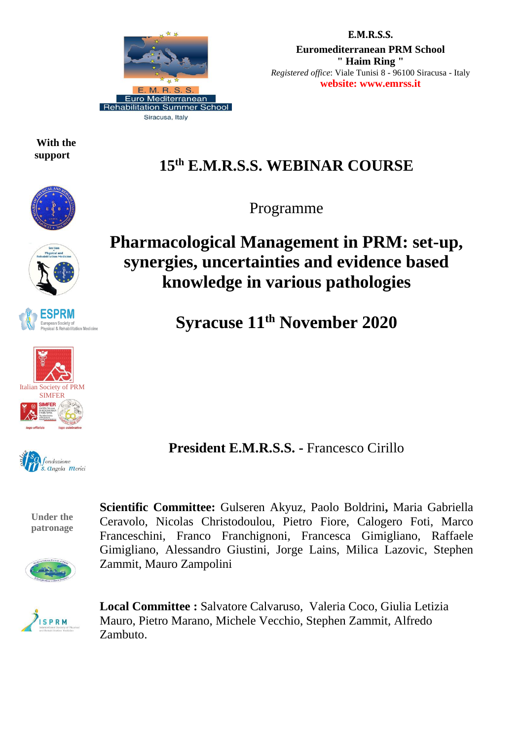

 **With the support**

## **E.M.R.S.S. Euromediterranean PRM School " Haim Ring "** *Registered office*: Viale Tunisi 8 - 96100 Siracusa - Italy **website: www.emrss.it**

# **15 th E.M.R.S.S. WEBINAR COURSE**

Programme





**Syracuse 11 th November 2020**

**President E.M.R.S.S. -** Francesco Cirillo

**Under the patronage**

**Scientific Committee:** Gulseren Akyuz, Paolo Boldrini**,** Maria Gabriella Ceravolo, Nicolas Christodoulou, Pietro Fiore, Calogero Foti, Marco Franceschini, Franco Franchignoni, Francesca Gimigliano, Raffaele Gimigliano, Alessandro Giustini, Jorge Lains, Milica Lazovic, Stephen Zammit, Mauro Zampolini



**Local Committee :** Salvatore Calvaruso, Valeria Coco, Giulia Letizia Mauro, Pietro Marano, Michele Vecchio, Stephen Zammit, Alfredo Zambuto.



Italian Society of PRM **SIMFER** 

**SPRM** 

ety of<br>abilitation Medicine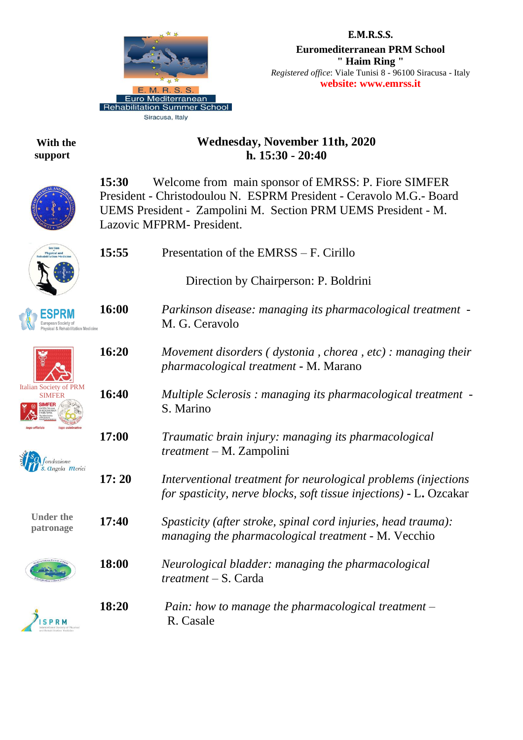

## **E.M.R.S.S. Euromediterranean PRM School " Haim Ring "** *Registered office*: Viale Tunisi 8 - 96100 Siracusa - Italy **website: www.emrss.it**

 **With the support**

# **Wednesday, November 11th, 2020 h. 15:30 - 20:40**



**15:30** Welcome from main sponsor of EMRSS: P. Fiore SIMFER President - Christodoulou N. ESPRM President - Ceravolo M.G.- Board UEMS President - Zampolini M. Section PRM UEMS President - M. Lazovic MFPRM- President.

| <b>Physical and</b>                            | 15:55 | Presentation of the EMRSS – F. Cirillo                                                                                               |
|------------------------------------------------|-------|--------------------------------------------------------------------------------------------------------------------------------------|
|                                                |       | Direction by Chairperson: P. Boldrini                                                                                                |
|                                                | 16:00 | Parkinson disease: managing its pharmacological treatment -<br>M. G. Ceravolo                                                        |
|                                                | 16:20 | Movement disorders (dystonia, chorea, etc): managing their<br>pharmacological treatment - M. Marano                                  |
| <b>Italian Society of PRM</b><br><b>SIMFER</b> | 16:40 | Multiple Sclerosis: managing its pharmacological treatment -<br>S. Marino                                                            |
| $ondazione$<br><i><b>Angela Merici</b></i>     | 17:00 | Traumatic brain injury: managing its pharmacological<br>$treatment - M. Zampolini$                                                   |
|                                                | 17:20 | Interventional treatment for neurological problems (injections<br>for spasticity, nerve blocks, soft tissue injections) - L. Ozcakar |
| <b>Under the</b><br>patronage                  | 17:40 | Spasticity (after stroke, spinal cord injuries, head trauma):<br>managing the pharmacological treatment - M. Vecchio                 |
|                                                | 18:00 | Neurological bladder: managing the pharmacological<br>$treatment - S. Carda$                                                         |
|                                                | 18:20 | Pain: how to manage the pharmacological treatment $-$<br>R. Casale                                                                   |
|                                                |       |                                                                                                                                      |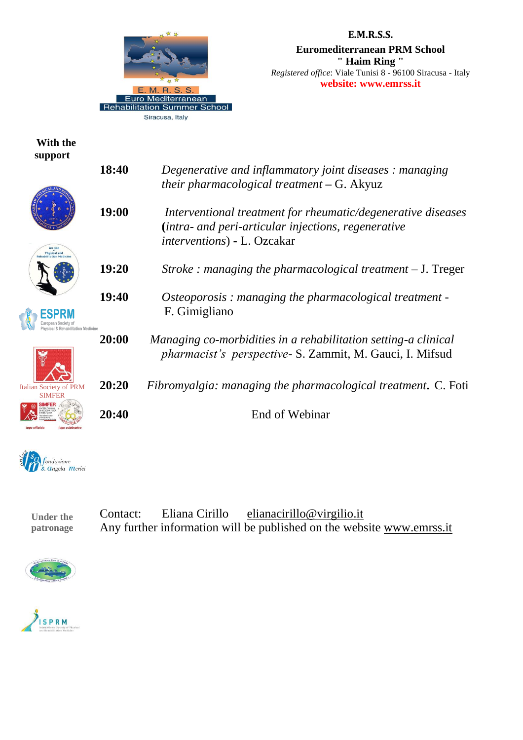

### **E.M.R.S.S.**

**Euromediterranean PRM School " Haim Ring "** *Registered office*: Viale Tunisi 8 - 96100 Siracusa - Italy **website: www.emrss.it**

## **With the support**









| 18:40 | Degenerative and inflammatory joint diseases: managing<br>their pharmacological treatment $-G.$ Akyuz                                                      |
|-------|------------------------------------------------------------------------------------------------------------------------------------------------------------|
| 19:00 | Interventional treatment for rheumatic/degenerative diseases<br>(intra- and peri-articular injections, regenerative<br><i>interventions</i> ) - L. Ozcakar |
| 19:20 | Stroke : managing the pharmacological treatment $-J$ . Treger                                                                                              |
| 19:40 | Osteoporosis: managing the pharmacological treatment -<br>F. Gimigliano                                                                                    |
| 20:00 | Managing co-morbidities in a rehabilitation setting-a clinical<br>pharmacist's perspective- S. Zammit, M. Gauci, I. Mifsud                                 |
| 20:20 | Fibromyalgia: managing the pharmacological treatment. C. Foti                                                                                              |
| 20:40 | End of Webinar                                                                                                                                             |



**Under the patronage** Contact: Eliana Cirillo [elianacirillo@virgilio.it](mailto:elianacirillo@virgilio.it) Any further information will be published on the website [www.emrss.it](http://www.emrss.it/)



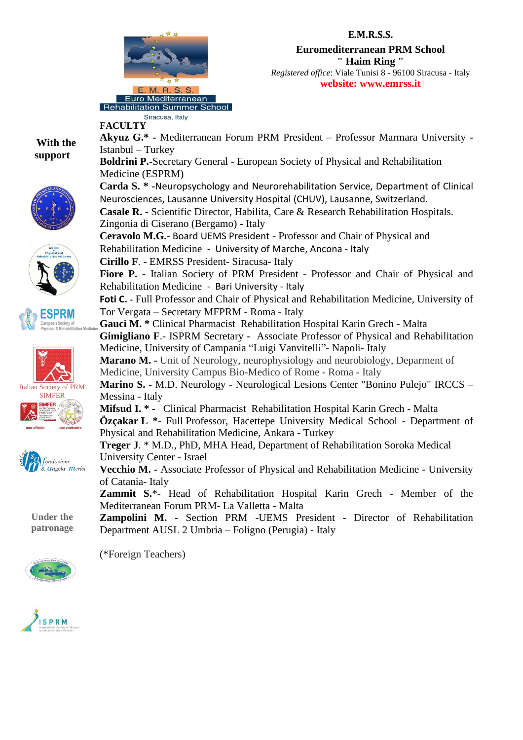

Siracusa, Italy

Zingonia di Ciserano (Bergamo) - Italy

**Cirillo F**. **-** EMRSS President- Siracusa- Italy

Rehabilitation Medicine - Bari University - Italy

Tor Vergata – Secretary MFPRM - Roma - Italy

**FACULTY**

Istanbul – Turkey

Medicine (ESPRM)

**Euromediterranean PRM School " Haim Ring "**

*Registered office*: Viale Tunisi 8 - 96100 Siracusa - Italy **website: www.emrss.it**

**Akyuz G.\* -** Mediterranean Forum PRM President – Professor Marmara University -

**Carda S. \* -**Neuropsychology and Neurorehabilitation Service, Department of Clinical

**Fiore P. -** Italian Society of PRM President - Professor and Chair of Physical and

**Foti C. -** Full Professor and Chair of Physical and Rehabilitation Medicine, University of

**Gimigliano F**.- ISPRM Secretary - Associate Professor of Physical and Rehabilitation

**Marino S. -** M.D. Neurology - Neurological Lesions Center "Bonino Pulejo" IRCCS –

**Özçakar L \***- Full Professor, Hacettepe University Medical School - Department of

**Vecchio M. -** Associate Professor of Physical and Rehabilitation Medicine - University

**Zammit S.**\*- Head of Rehabilitation Hospital Karin Grech - Member of the

**Zampolini M.** - Section PRM -UEMS President - Director of Rehabilitation

**Marano M. -** Unit of Neurology, neurophysiology and neurobiology, Deparment of

**Mifsud I. \* -** Clinical Pharmacist Rehabilitation Hospital Karin Grech - Malta

**Treger J**. \* M.D., PhD, MHA Head, Department of Rehabilitation Soroka Medical

**Casale R.** - Scientific Director, Habilita, Care & Research Rehabilitation Hospitals.

**Boldrini P.-**Secretary General - European Society of Physical and Rehabilitation

Neurosciences, Lausanne University Hospital (CHUV), Lausanne, Switzerland.

**Ceravolo M.G.**- Board UEMS President - Professor and Chair of Physical and

**Gauci M. \*** Clinical Pharmacist Rehabilitation Hospital Karin Grech - Malta

Medicine, University of Campania "Luigi Vanvitelli"- Napoli- Italy

Medicine, University Campus Bio-Medico of Rome - Roma - Italy

Physical and Rehabilitation Medicine, Ankara - Turkey

Department AUSL 2 Umbria – Foligno (Perugia) - Italy

Mediterranean Forum PRM- La Valletta - Malta

Rehabilitation Medicine - University of Marche, Ancona - Italy

 **With the support**











**Under the patronage**



(\*Foreign Teachers)

University Center - Israel

Messina - Italy

of Catania- Italy